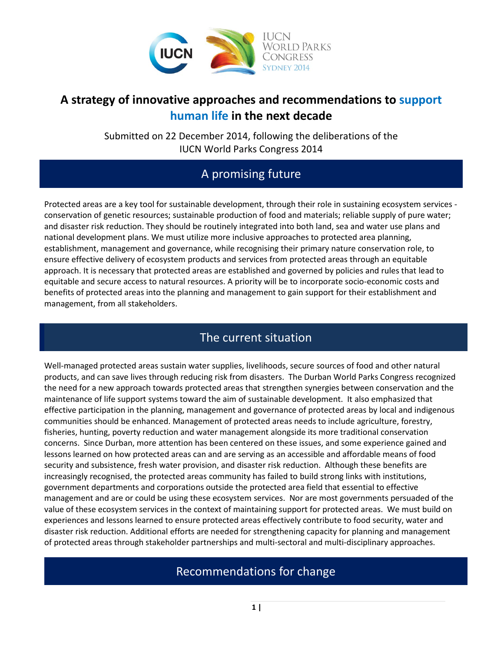

# **A strategy of innovative approaches and recommendations to support human life in the next decade**

Submitted on 22 December 2014, following the deliberations of the IUCN World Parks Congress 2014

# A promising future

Protected areas are a key tool for sustainable development, through their role in sustaining ecosystem services conservation of genetic resources; sustainable production of food and materials; reliable supply of pure water; and disaster risk reduction. They should be routinely integrated into both land, sea and water use plans and national development plans. We must utilize more inclusive approaches to protected area planning, establishment, management and governance, while recognising their primary nature conservation role, to ensure effective delivery of ecosystem products and services from protected areas through an equitable approach. It is necessary that protected areas are established and governed by policies and rules that lead to equitable and secure access to natural resources. A priority will be to incorporate socio-economic costs and benefits of protected areas into the planning and management to gain support for their establishment and management, from all stakeholders.

# The current situation

Well-managed protected areas sustain water supplies, livelihoods, secure sources of food and other natural products, and can save lives through reducing risk from disasters. The Durban World Parks Congress recognized the need for a new approach towards protected areas that strengthen synergies between conservation and the maintenance of life support systems toward the aim of sustainable development. It also emphasized that effective participation in the planning, management and governance of protected areas by local and indigenous communities should be enhanced. Management of protected areas needs to include agriculture, forestry, fisheries, hunting, poverty reduction and water management alongside its more traditional conservation concerns. Since Durban, more attention has been centered on these issues, and some experience gained and lessons learned on how protected areas can and are serving as an accessible and affordable means of food security and subsistence, fresh water provision, and disaster risk reduction. Although these benefits are increasingly recognised, the protected areas community has failed to build strong links with institutions, government departments and corporations outside the protected area field that essential to effective management and are or could be using these ecosystem services. Nor are most governments persuaded of the value of these ecosystem services in the context of maintaining support for protected areas. We must build on experiences and lessons learned to ensure protected areas effectively contribute to food security, water and disaster risk reduction. Additional efforts are needed for strengthening capacity for planning and management of protected areas through stakeholder partnerships and multi-sectoral and multi-disciplinary approaches.

# Recommendations for change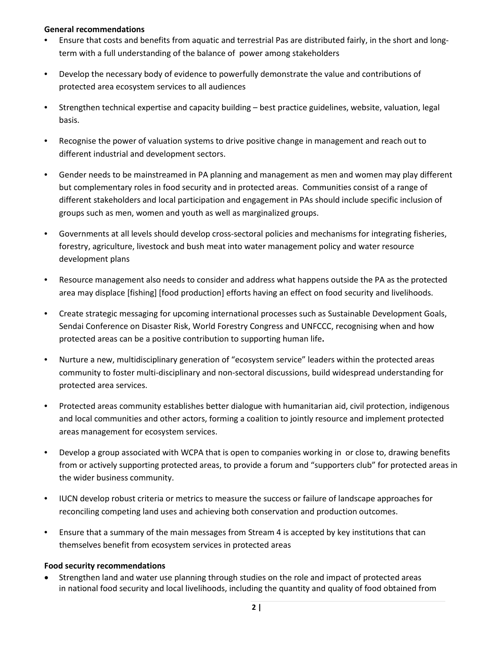#### **General recommendations**

- Ensure that costs and benefits from aquatic and terrestrial Pas are distributed fairly, in the short and longterm with a full understanding of the balance of power among stakeholders
- Develop the necessary body of evidence to powerfully demonstrate the value and contributions of protected area ecosystem services to all audiences
- Strengthen technical expertise and capacity building best practice guidelines, website, valuation, legal basis.
- Recognise the power of valuation systems to drive positive change in management and reach out to different industrial and development sectors.
- Gender needs to be mainstreamed in PA planning and management as men and women may play different but complementary roles in food security and in protected areas. Communities consist of a range of different stakeholders and local participation and engagement in PAs should include specific inclusion of groups such as men, women and youth as well as marginalized groups.
- Governments at all levels should develop cross-sectoral policies and mechanisms for integrating fisheries, forestry, agriculture, livestock and bush meat into water management policy and water resource development plans
- Resource management also needs to consider and address what happens outside the PA as the protected area may displace [fishing] [food production] efforts having an effect on food security and livelihoods.
- Create strategic messaging for upcoming international processes such as Sustainable Development Goals, Sendai Conference on Disaster Risk, World Forestry Congress and UNFCCC, recognising when and how protected areas can be a positive contribution to supporting human life**.**
- Nurture a new, multidisciplinary generation of "ecosystem service" leaders within the protected areas community to foster multi-disciplinary and non-sectoral discussions, build widespread understanding for protected area services.
- Protected areas community establishes better dialogue with humanitarian aid, civil protection, indigenous and local communities and other actors, forming a coalition to jointly resource and implement protected areas management for ecosystem services.
- Develop a group associated with WCPA that is open to companies working in or close to, drawing benefits from or actively supporting protected areas, to provide a forum and "supporters club" for protected areas in the wider business community.
- IUCN develop robust criteria or metrics to measure the success or failure of landscape approaches for reconciling competing land uses and achieving both conservation and production outcomes.
- Ensure that a summary of the main messages from Stream 4 is accepted by key institutions that can themselves benefit from ecosystem services in protected areas

### **Food security recommendations**

• Strengthen land and water use planning through studies on the role and impact of protected areas in national food security and local livelihoods, including the quantity and quality of food obtained from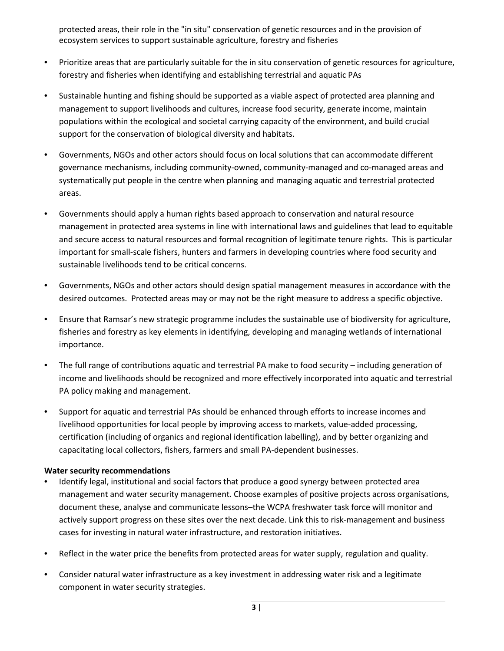protected areas, their role in the "in situ" conservation of genetic resources and in the provision of ecosystem services to support sustainable agriculture, forestry and fisheries

- Prioritize areas that are particularly suitable for the in situ conservation of genetic resources for agriculture, forestry and fisheries when identifying and establishing terrestrial and aquatic PAs
- Sustainable hunting and fishing should be supported as a viable aspect of protected area planning and management to support livelihoods and cultures, increase food security, generate income, maintain populations within the ecological and societal carrying capacity of the environment, and build crucial support for the conservation of biological diversity and habitats.
- Governments, NGOs and other actors should focus on local solutions that can accommodate different governance mechanisms, including community-owned, community-managed and co-managed areas and systematically put people in the centre when planning and managing aquatic and terrestrial protected areas.
- Governments should apply a human rights based approach to conservation and natural resource management in protected area systems in line with international laws and guidelines that lead to equitable and secure access to natural resources and formal recognition of legitimate tenure rights. This is particular important for small-scale fishers, hunters and farmers in developing countries where food security and sustainable livelihoods tend to be critical concerns.
- Governments, NGOs and other actors should design spatial management measures in accordance with the desired outcomes. Protected areas may or may not be the right measure to address a specific objective.
- Ensure that Ramsar's new strategic programme includes the sustainable use of biodiversity for agriculture, fisheries and forestry as key elements in identifying, developing and managing wetlands of international importance.
- The full range of contributions aquatic and terrestrial PA make to food security including generation of income and livelihoods should be recognized and more effectively incorporated into aquatic and terrestrial PA policy making and management.
- Support for aquatic and terrestrial PAs should be enhanced through efforts to increase incomes and livelihood opportunities for local people by improving access to markets, value-added processing, certification (including of organics and regional identification labelling), and by better organizing and capacitating local collectors, fishers, farmers and small PA-dependent businesses.

### **Water security recommendations**

- Identify legal, institutional and social factors that produce a good synergy between protected area management and water security management. Choose examples of positive projects across organisations, document these, analyse and communicate lessons–the WCPA freshwater task force will monitor and actively support progress on these sites over the next decade. Link this to risk-management and business cases for investing in natural water infrastructure, and restoration initiatives.
- Reflect in the water price the benefits from protected areas for water supply, regulation and quality.
- Consider natural water infrastructure as a key investment in addressing water risk and a legitimate component in water security strategies.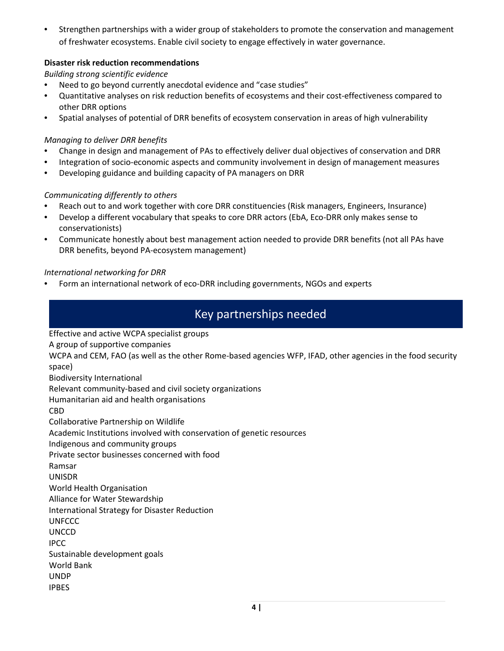• Strengthen partnerships with a wider group of stakeholders to promote the conservation and management of freshwater ecosystems. Enable civil society to engage effectively in water governance.

### **Disaster risk reduction recommendations**

*Building strong scientific evidence*

- Need to go beyond currently anecdotal evidence and "case studies"
- Quantitative analyses on risk reduction benefits of ecosystems and their cost-effectiveness compared to other DRR options
- Spatial analyses of potential of DRR benefits of ecosystem conservation in areas of high vulnerability

#### *Managing to deliver DRR benefits*

- Change in design and management of PAs to effectively deliver dual objectives of conservation and DRR
- Integration of socio-economic aspects and community involvement in design of management measures
- Developing guidance and building capacity of PA managers on DRR

### *Communicating differently to others*

- Reach out to and work together with core DRR constituencies (Risk managers, Engineers, Insurance)
- Develop a different vocabulary that speaks to core DRR actors (EbA, Eco-DRR only makes sense to conservationists)
- Communicate honestly about best management action needed to provide DRR benefits (not all PAs have DRR benefits, beyond PA-ecosystem management)

#### *International networking for DRR*

• Form an international network of eco-DRR including governments, NGOs and experts

# Key partnerships needed

Effective and active WCPA specialist groups

A group of supportive companies

WCPA and CEM, FAO (as well as the other Rome-based agencies WFP, IFAD, other agencies in the food security space)

Biodiversity International

Relevant community-based and civil society organizations

Humanitarian aid and health organisations

CBD

Collaborative Partnership on Wildlife

Academic Institutions involved with conservation of genetic resources

Indigenous and community groups

Private sector businesses concerned with food

Ramsar

UNISDR

World Health Organisation

Alliance for Water Stewardship

International Strategy for Disaster Reduction

**UNFCCC** 

**UNCCD** 

IPCC

Sustainable development goals

World Bank

UNDP

IPBES